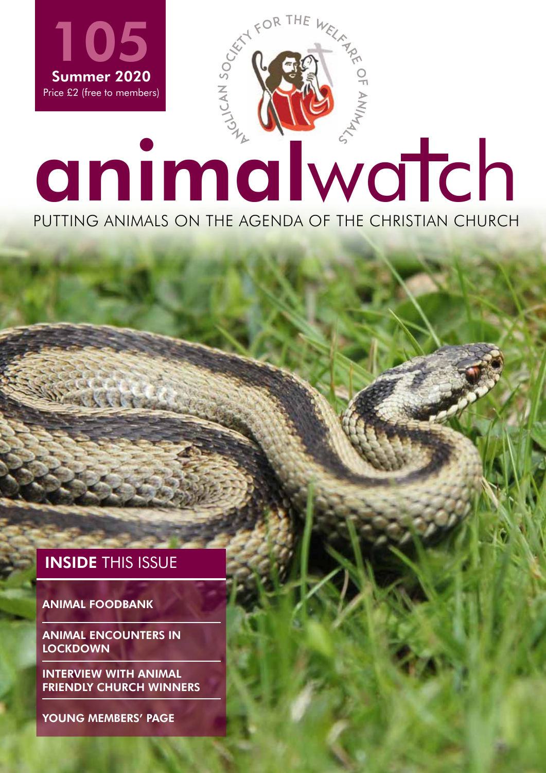

**INSIDE THIS ISSUE** 

ANIMAL FOODBANK

ANIMAL ENCOUNTERS IN **LOCKDOWN** 

INTERVIEW WITH ANIMAL FRIENDLY CHURCH WINNERS

YOUNG MEMBERS' PAGE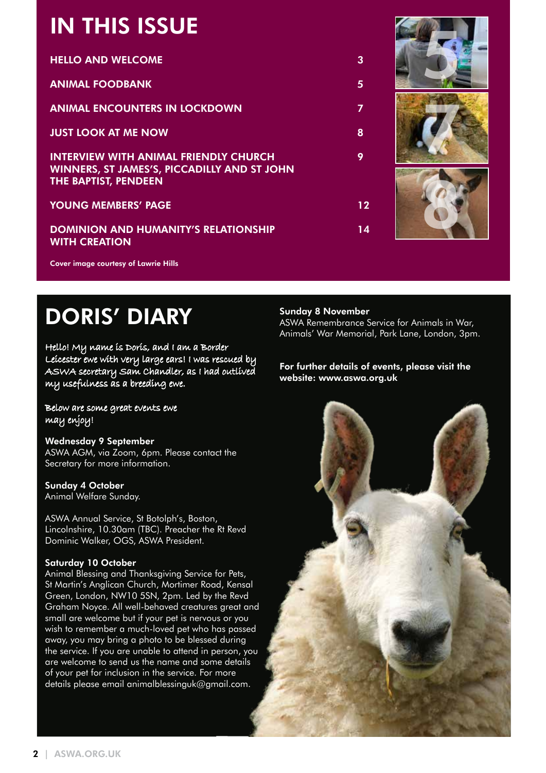## IN THIS ISSUE

| IN INIS 1990E                                                                                                                     |    |  |
|-----------------------------------------------------------------------------------------------------------------------------------|----|--|
| <b>HELLO AND WELCOME</b>                                                                                                          | 3  |  |
| <b>ANIMAL FOODBANK</b>                                                                                                            | 5  |  |
| <b>ANIMAL ENCOUNTERS IN LOCKDOWN</b>                                                                                              |    |  |
| <b>JUST LOOK AT ME NOW</b>                                                                                                        | 8  |  |
| <b>INTERVIEW WITH ANIMAL FRIENDLY CHURCH</b><br><b>WINNERS, ST JAMES'S, PICCADILLY AND ST JOHN</b><br><b>THE BAPTIST, PENDEEN</b> | 9  |  |
| <b>YOUNG MEMBERS' PAGE</b>                                                                                                        | 12 |  |
| <b>DOMINION AND HUMANITY'S RELATIONSHIP</b><br><b>WITH CREATION</b>                                                               | 14 |  |

Cover image courtesy of Lawrie Hills

# DORIS' DIARY

Hello! My name is Doris, and I am a Border Leicester ewe with very large ears! I was rescued by ASWA secretary Sam Chandler, as I had outlived my usefulness as a breeding ewe.

Below are some great events ewe may enjoy!

Wednesday 9 September ASWA AGM, via Zoom, 6pm. Please contact the Secretary for more information.

#### Sunday 4 October

Animal Welfare Sunday.

ASWA Annual Service, St Botolph's, Boston, Lincolnshire, 10.30am (TBC). Preacher the Rt Revd Dominic Walker, OGS, ASWA President.

#### Saturday 10 October

Animal Blessing and Thanksgiving Service for Pets, St Martin's Anglican Church, Mortimer Road, Kensal Green, London, NW10 5SN, 2pm. Led by the Revd Graham Noyce. All well-behaved creatures great and small are welcome but if your pet is nervous or you wish to remember a much-loved pet who has passed away, you may bring a photo to be blessed during the service. If you are unable to attend in person, you are welcome to send us the name and some details of your pet for inclusion in the service. For more details please email animalblessinguk@gmail.com.

#### Sunday 8 November

ASWA Remembrance Service for Animals in War, Animals' War Memorial, Park Lane, London, 3pm.

#### For further details of events, please visit the website: www.aswa.org.uk

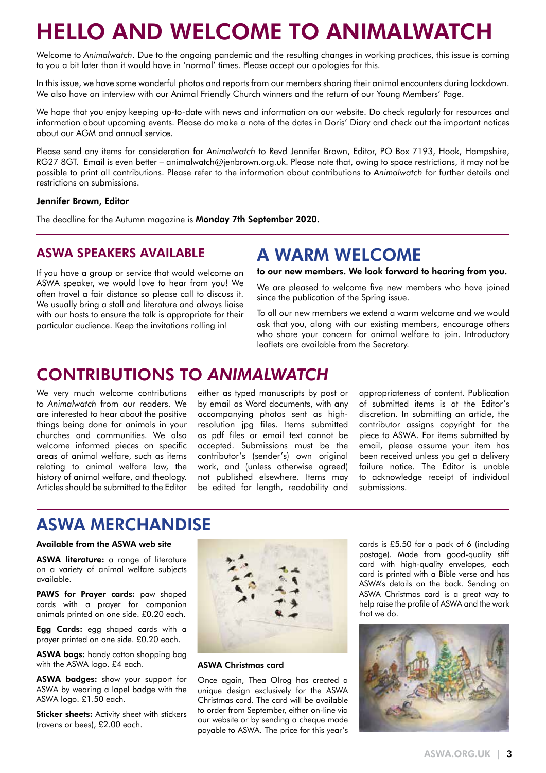## HELLO AND WELCOME TO ANIMALWATCH

Welcome to *Animalwatch*. Due to the ongoing pandemic and the resulting changes in working practices, this issue is coming to you a bit later than it would have in 'normal' times. Please accept our apologies for this.

In this issue, we have some wonderful photos and reports from our members sharing their animal encounters during lockdown. We also have an interview with our Animal Friendly Church winners and the return of our Young Members' Page.

We hope that you enjoy keeping up-to-date with news and information on our website. Do check regularly for resources and information about upcoming events. Please do make a note of the dates in Doris' Diary and check out the important notices about our AGM and annual service.

Please send any items for consideration for *Animalwatch* to Revd Jennifer Brown, Editor, PO Box 7193, Hook, Hampshire, RG27 8GT. Email is even better – animalwatch@jenbrown.org.uk. Please note that, owing to space restrictions, it may not be possible to print all contributions. Please refer to the information about contributions to *Animalwatch* for further details and restrictions on submissions.

#### Jennifer Brown, Editor

The deadline for the Autumn magazine is Monday 7th September 2020.

#### ASWA SPEAKERS AVAILABLE

## A WARM WELCOME

since the publication of the Spring issue.

If you have a group or service that would welcome an ASWA speaker, we would love to hear from you! We often travel a fair distance so please call to discuss it. We usually bring a stall and literature and always liaise with our hosts to ensure the talk is appropriate for their particular audience. Keep the invitations rolling in!

to our new members. We look forward to hearing from you. We are pleased to welcome five new members who have joined

To all our new members we extend a warm welcome and we would ask that you, along with our existing members, encourage others who share your concern for animal welfare to join. Introductory leaflets are available from the Secretary.

## CONTRIBUTIONS TO *ANIMALWATCH*

We very much welcome contributions to *Animalwatch* from our readers. We are interested to hear about the positive things being done for animals in your churches and communities. We also welcome informed pieces on specific areas of animal welfare, such as items relating to animal welfare law, the history of animal welfare, and theology. Articles should be submitted to the Editor

either as typed manuscripts by post or by email as Word documents, with any accompanying photos sent as highresolution jpg files. Items submitted as pdf files or email text cannot be accepted. Submissions must be the contributor's (sender's) own original work, and (unless otherwise agreed) not published elsewhere. Items may be edited for length, readability and

appropriateness of content. Publication of submitted items is at the Editor's discretion. In submitting an article, the contributor assigns copyright for the piece to ASWA. For items submitted by email, please assume your item has been received unless you get a delivery failure notice. The Editor is unable to acknowledge receipt of individual submissions.

## ASWA MERCHANDISE

#### Available from the ASWA web site

ASWA literature: a range of literature on a variety of animal welfare subjects available.

PAWS for Prayer cards: paw shaped cards with a prayer for companion animals printed on one side. £0.20 each.

Egg Cards: egg shaped cards with a prayer printed on one side. £0.20 each.

ASWA bags: handy cotton shopping bag with the ASWA logo. £4 each.

ASWA badges: show your support for ASWA by wearing a lapel badge with the ASWA logo. £1.50 each.

**Sticker sheets:** Activity sheet with stickers (ravens or bees), £2.00 each.



ASWA Christmas card

Once again, Thea Olrog has created a unique design exclusively for the ASWA Christmas card. The card will be available to order from September, either on-line via our website or by sending a cheque made payable to ASWA. The price for this year's cards is £5.50 for a pack of 6 (including postage). Made from good-quality stiff card with high-quality envelopes, each card is printed with a Bible verse and has ASWA's details on the back. Sending an ASWA Christmas card is a great way to help raise the profile of ASWA and the work that we do.

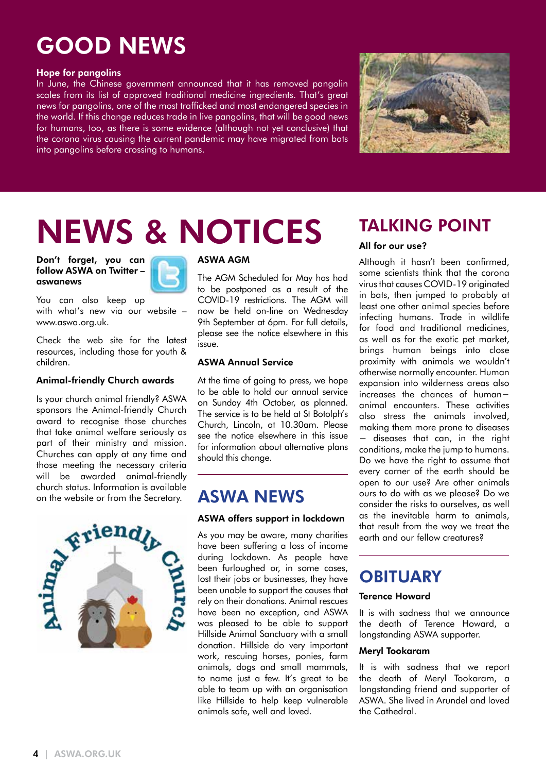## GOOD NEWS

#### Hope for pangolins

In June, the Chinese government announced that it has removed pangolin scales from its list of approved traditional medicine ingredients. That's great news for pangolins, one of the most trafficked and most endangered species in the world. If this change reduces trade in live pangolins, that will be good news for humans, too, as there is some evidence (although not yet conclusive) that the corona virus causing the current pandemic may have migrated from bats into pangolins before crossing to humans.



# NEWS & NOTICES

Don't forget, you can follow ASWA on Twitter – aswanews



You can also keep up with what's new via our website – www.aswa.org.uk.

Check the web site for the latest resources, including those for youth & children.

#### Animal-friendly Church awards

Is your church animal friendly? ASWA sponsors the Animal-friendly Church award to recognise those churches that take animal welfare seriously as part of their ministry and mission. Churches can apply at any time and those meeting the necessary criteria will be awarded animal-friendly church status. Information is available on the website or from the Secretary.



#### ASWA AGM

The AGM Scheduled for May has had to be postponed as a result of the COVID-19 restrictions. The AGM will now be held on-line on Wednesday 9th September at 6pm. For full details, please see the notice elsewhere in this issue.

#### ASWA Annual Service

At the time of going to press, we hope to be able to hold our annual service on Sunday 4th October, as planned. The service is to be held at St Botolph's Church, Lincoln, at 10.30am. Please see the notice elsewhere in this issue for information about alternative plans should this change.

## ASWA NEWS

#### ASWA offers support in lockdown

As you may be aware, many charities have been suffering a loss of income during lockdown. As people have been furloughed or, in some cases, lost their jobs or businesses, they have been unable to support the causes that rely on their donations. Animal rescues have been no exception, and ASWA was pleased to be able to support Hillside Animal Sanctuary with a small donation. Hillside do very important work, rescuing horses, ponies, farm animals, dogs and small mammals, to name just a few. It's great to be able to team up with an organisation like Hillside to help keep vulnerable animals safe, well and loved.

## TALKING POINT

#### All for our use?

Although it hasn't been confirmed, some scientists think that the corona virus that causes COVID-19 originated in bats, then jumped to probably at least one other animal species before infecting humans. Trade in wildlife for food and traditional medicines, as well as for the exotic pet market, brings human beings into close proximity with animals we wouldn't otherwise normally encounter. Human expansion into wilderness areas also increases the chances of human− animal encounters. These activities also stress the animals involved, making them more prone to diseases − diseases that can, in the right conditions, make the jump to humans. Do we have the right to assume that every corner of the earth should be open to our use? Are other animals ours to do with as we please? Do we consider the risks to ourselves, as well as the inevitable harm to animals, that result from the way we treat the earth and our fellow creatures?

## **OBITUARY**

#### Terence Howard

It is with sadness that we announce the death of Terence Howard, a longstanding ASWA supporter.

#### Meryl Tookaram

It is with sadness that we report the death of Meryl Tookaram, a longstanding friend and supporter of ASWA. She lived in Arundel and loved the Cathedral.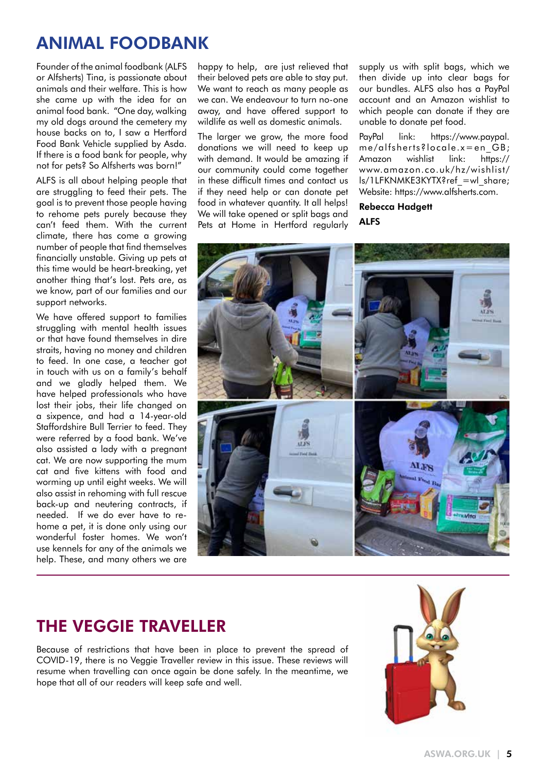## ANIMAL FOODBANK

Founder of the animal foodbank (ALFS or Alfsherts) Tina, is passionate about animals and their welfare. This is how she came up with the idea for an animal food bank. "One day, walking my old dogs around the cemetery my house backs on to, I saw a Hertford Food Bank Vehicle supplied by Asda. If there is a food bank for people, why not for pets? So Alfsherts was born!"

ALFS is all about helping people that are struggling to feed their pets. The goal is to prevent those people having to rehome pets purely because they can't feed them. With the current climate, there has come a growing number of people that find themselves financially unstable. Giving up pets at this time would be heart-breaking, yet another thing that's lost. Pets are, as we know, part of our families and our support networks.

We have offered support to families struggling with mental health issues or that have found themselves in dire straits, having no money and children to feed. In one case, a teacher got in touch with us on a family's behalf and we gladly helped them. We have helped professionals who have lost their jobs, their life changed on a sixpence, and had a 14-year-old Staffordshire Bull Terrier to feed. They were referred by a food bank. We've also assisted a lady with a pregnant cat. We are now supporting the mum cat and five kittens with food and worming up until eight weeks. We will also assist in rehoming with full rescue back-up and neutering contracts, if needed. If we do ever have to rehome a pet, it is done only using our wonderful foster homes. We won't use kennels for any of the animals we help. These, and many others we are

happy to help, are just relieved that their beloved pets are able to stay put. We want to reach as many people as we can. We endeavour to turn no-one away, and have offered support to wildlife as well as domestic animals.

The larger we grow, the more food donations we will need to keep up with demand. It would be amazing if our community could come together in these difficult times and contact us if they need help or can donate pet food in whatever quantity. It all helps! We will take opened or split bags and Pets at Home in Hertford regularly supply us with split bags, which we then divide up into clear bags for our bundles. ALFS also has a PayPal account and an Amazon wishlist to which people can donate if they are unable to donate pet food.

PayPal link: https://www.paypal. me/alfsherts?locale.x=en\_GB; Amazon wishlist link: https:// www.amazon.co.uk/hz/wishlist/ ls/1LFKNMKE3KYTX?ref\_=wl\_share; Website: https://www.alfsherts.com.

Rebecca Hadgett ALFS



## THE VEGGIE TRAVELLER

Because of restrictions that have been in place to prevent the spread of COVID-19, there is no Veggie Traveller review in this issue. These reviews will resume when travelling can once again be done safely. In the meantime, we hope that all of our readers will keep safe and well.

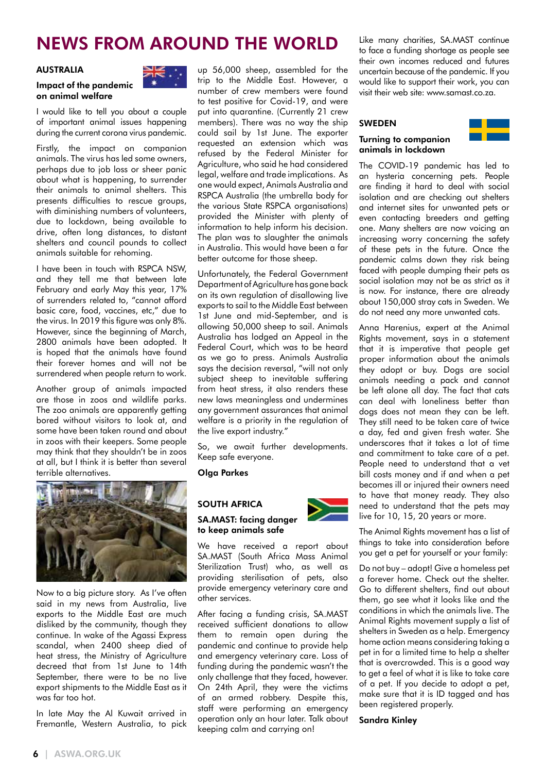## NEWS FROM AROUND THE WORLD

#### AUSTRALIA

#### Impact of the pandemic on animal welfare

I would like to tell you about a couple of important animal issues happening during the current corona virus pandemic.

Firstly, the impact on companion animals. The virus has led some owners, perhaps due to job loss or sheer panic about what is happening, to surrender their animals to animal shelters. This presents difficulties to rescue groups, with diminishing numbers of volunteers, due to lockdown, being available to drive, often long distances, to distant shelters and council pounds to collect animals suitable for rehoming.

I have been in touch with RSPCA NSW, and they tell me that between late February and early May this year, 17% of surrenders related to, "cannot afford basic care, food, vaccines, etc," due to the virus. In 2019 this figure was only 8%. However, since the beginning of March, 2800 animals have been adopted. It is hoped that the animals have found their forever homes and will not be surrendered when people return to work.

Another group of animals impacted are those in zoos and wildlife parks. The zoo animals are apparently getting bored without visitors to look at, and some have been taken round and about in zoos with their keepers. Some people may think that they shouldn't be in zoos at all, but I think it is better than several terrible alternatives.



Now to a big picture story. As I've often said in my news from Australia, live exports to the Middle East are much disliked by the community, though they continue. In wake of the Agassi Express scandal, when 2400 sheep died of heat stress, the Ministry of Agriculture decreed that from 1st June to 14th September, there were to be no live export shipments to the Middle East as it was far too hot.

In late May the Al Kuwait arrived in Fremantle, Western Australia, to pick



up 56,000 sheep, assembled for the trip to the Middle East. However, a number of crew members were found to test positive for Covid-19, and were put into quarantine. (Currently 21 crew members). There was no way the ship could sail by 1st June. The exporter requested an extension which was refused by the Federal Minister for Agriculture, who said he had considered legal, welfare and trade implications. As one would expect, Animals Australia and RSPCA Australia (the umbrella body for the various State RSPCA organisations) provided the Minister with plenty of information to help inform his decision. The plan was to slaughter the animals in Australia. This would have been a far better outcome for those sheep.

Unfortunately, the Federal Government Department of Agriculture has gone back on its own regulation of disallowing live exports to sail to the Middle East between 1st June and mid-September, and is allowing 50,000 sheep to sail. Animals Australia has lodged an Appeal in the Federal Court, which was to be heard as we go to press. Animals Australia says the decision reversal, "will not only subject sheep to inevitable suffering from heat stress, it also renders these new laws meaningless and undermines any government assurances that animal welfare is a priority in the regulation of the live export industry."

So, we await further developments. Keep safe everyone.

Olga Parkes

#### SOUTH AFRICA

#### SA.MAST: facing danger to keep animals safe

We have received a report about SA.MAST (South Africa Mass Animal Sterilization Trust) who, as well as providing sterilisation of pets, also provide emergency veterinary care and other services.

After facing a funding crisis, SA.MAST received sufficient donations to allow them to remain open during the pandemic and continue to provide help and emergency veterinary care. Loss of funding during the pandemic wasn't the only challenge that they faced, however. On 24th April, they were the victims of an armed robbery. Despite this, staff were performing an emergency operation only an hour later. Talk about keeping calm and carrying on!

Like many charities, SA.MAST continue to face a funding shortage as people see their own incomes reduced and futures uncertain because of the pandemic. If you would like to support their work, you can visit their web site: www.samast.co.za.

#### SWEDEN

#### Turning to companion animals in lockdown



The COVID-19 pandemic has led to an hysteria concerning pets. People are finding it hard to deal with social isolation and are checking out shelters and internet sites for unwanted pets or even contacting breeders and getting one. Many shelters are now voicing an increasing worry concerning the safety of these pets in the future. Once the pandemic calms down they risk being faced with people dumping their pets as social isolation may not be as strict as it is now. For instance, there are already about 150,000 stray cats in Sweden. We do not need any more unwanted cats.

Anna Harenius, expert at the Animal Rights movement, says in a statement that it is imperative that people get proper information about the animals they adopt or buy. Dogs are social animals needing a pack and cannot be left alone all day. The fact that cats can deal with loneliness better than dogs does not mean they can be left. They still need to be taken care of twice a day, fed and given fresh water. She underscores that it takes a lot of time and commitment to take care of a pet. People need to understand that a vet bill costs money and if and when a pet becomes ill or injured their owners need to have that money ready. They also need to understand that the pets may live for 10, 15, 20 years or more.

The Animal Rights movement has a list of things to take into consideration before you get a pet for yourself or your family:

Do not buy – adopt! Give a homeless pet a forever home. Check out the shelter. Go to different shelters, find out about them, go see what it looks like and the conditions in which the animals live. The Animal Rights movement supply a list of shelters in Sweden as a help. Emergency home action means considering taking a pet in for a limited time to help a shelter that is overcrowded. This is a good way to get a feel of what it is like to take care of a pet. If you decide to adopt a pet, make sure that it is ID tagged and has been registered properly.

#### Sandra Kinley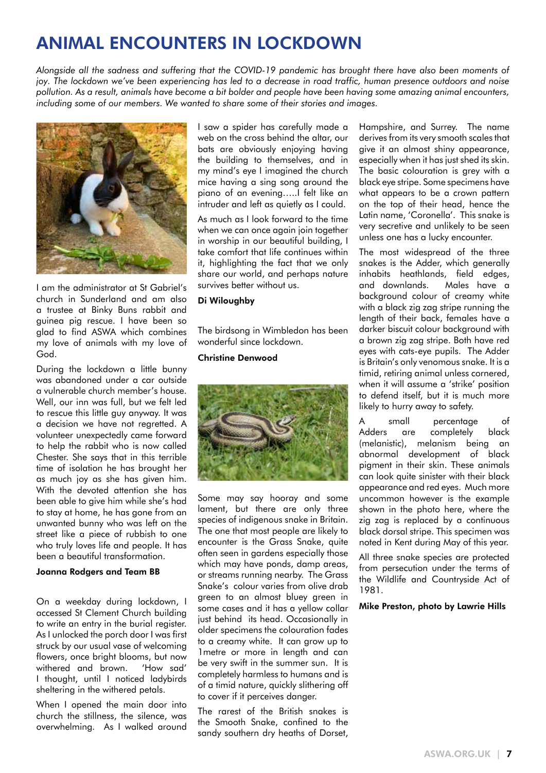## ANIMAL ENCOUNTERS IN LOCKDOWN

*Alongside all the sadness and suffering that the COVID-19 pandemic has brought there have also been moments of joy. The lockdown we've been experiencing has led to a decrease in road traffic, human presence outdoors and noise pollution. As a result, animals have become a bit bolder and people have been having some amazing animal encounters, including some of our members. We wanted to share some of their stories and images.*



I am the administrator at St Gabriel's church in Sunderland and am also a trustee at Binky Buns rabbit and guinea pig rescue. I have been so glad to find ASWA which combines my love of animals with my love of God.

During the lockdown a little bunny was abandoned under a car outside a vulnerable church member's house. Well, our inn was full, but we felt led to rescue this little guy anyway. It was a decision we have not regretted. A volunteer unexpectedly came forward to help the rabbit who is now called Chester. She says that in this terrible time of isolation he has brought her as much joy as she has given him. With the devoted attention she has been able to give him while she's had to stay at home, he has gone from an unwanted bunny who was left on the street like a piece of rubbish to one who truly loves life and people. It has been a beautiful transformation.

#### Joanna Rodgers and Team BB

On a weekday during lockdown, I accessed St Clement Church building to write an entry in the burial register. As I unlocked the porch door I was first struck by our usual vase of welcoming flowers, once bright blooms, but now withered and brown. 'How sad' I thought, until I noticed ladybirds sheltering in the withered petals.

When I opened the main door into church the stillness, the silence, was overwhelming. As I walked around

I saw a spider has carefully made a web on the cross behind the altar, our bats are obviously enjoying having the building to themselves, and in my mind's eye I imagined the church mice having a sing song around the piano of an evening…..I felt like an intruder and left as quietly as I could.

As much as I look forward to the time when we can once again join together in worship in our beautiful building, I take comfort that life continues within it, highlighting the fact that we only share our world, and perhaps nature survives better without us.

#### Di Wiloughby

The birdsong in Wimbledon has been wonderful since lockdown.

#### Christine Denwood



Some may say hooray and some lament, but there are only three species of indigenous snake in Britain. The one that most people are likely to encounter is the Grass Snake, quite often seen in gardens especially those which may have ponds, damp areas, or streams running nearby. The Grass Snake's colour varies from olive drab green to an almost bluey green in some cases and it has a yellow collar just behind its head. Occasionally in older specimens the colouration fades to a creamy white. It can grow up to 1metre or more in length and can be very swift in the summer sun. It is completely harmless to humans and is of a timid nature, quickly slithering off to cover if it perceives danger.

The rarest of the British snakes is the Smooth Snake, confined to the sandy southern dry heaths of Dorset, Hampshire, and Surrey. The name derives from its very smooth scales that give it an almost shiny appearance, especially when it has just shed its skin. The basic colouration is grey with a black eye stripe. Some specimens have what appears to be a crown pattern on the top of their head, hence the Latin name, 'Coronella'. This snake is very secretive and unlikely to be seen unless one has a lucky encounter.

The most widespread of the three snakes is the Adder, which generally inhabits heathlands, field edges, and downlands. Males have a background colour of creamy white with a black zig zag stripe running the length of their back, females have a darker biscuit colour background with a brown zig zag stripe. Both have red eyes with cats-eye pupils. The Adder is Britain's only venomous snake. It is a timid, retiring animal unless cornered, when it will assume a 'strike' position to defend itself, but it is much more likely to hurry away to safety.

A small percentage of Adders are completely black (melanistic), melanism being an abnormal development of black pigment in their skin. These animals can look quite sinister with their black appearance and red eyes. Much more uncommon however is the example shown in the photo here, where the zig zag is replaced by a continuous black dorsal stripe. This specimen was noted in Kent during May of this year.

All three snake species are protected from persecution under the terms of the Wildlife and Countryside Act of 1981.

#### Mike Preston, photo by Lawrie Hills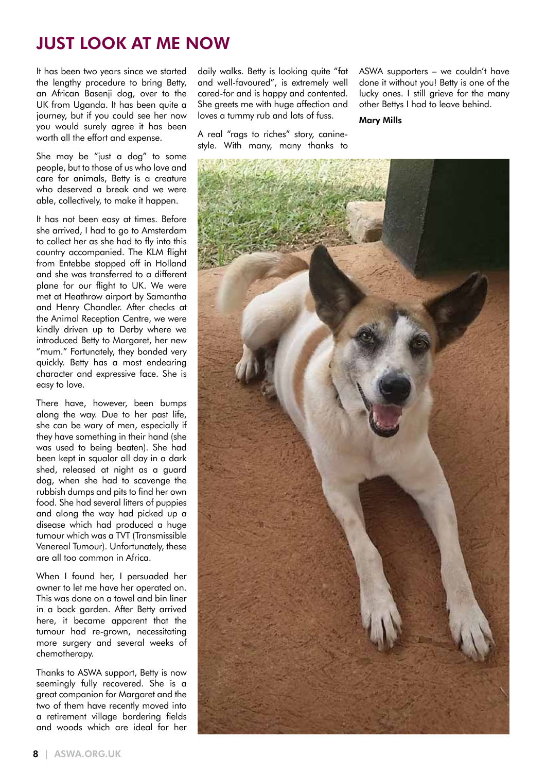## JUST LOOK AT ME NOW

It has been two years since we started the lengthy procedure to bring Betty, an African Basenji dog, over to the UK from Uganda. It has been quite a journey, but if you could see her now you would surely agree it has been worth all the effort and expense.

She may be "just a dog" to some people, but to those of us who love and care for animals, Betty is a creature who deserved a break and we were able, collectively, to make it happen.

It has not been easy at times. Before she arrived, I had to go to Amsterdam to collect her as she had to fly into this country accompanied. The KLM flight from Entebbe stopped off in Holland and she was transferred to a different plane for our flight to UK. We were met at Heathrow airport by Samantha and Henry Chandler. After checks at the Animal Reception Centre, we were kindly driven up to Derby where we introduced Betty to Margaret, her new "mum." Fortunately, they bonded very quickly. Betty has a most endearing character and expressive face. She is easy to love.

There have, however, been bumps along the way. Due to her past life, she can be wary of men, especially if they have something in their hand (she was used to being beaten). She had been kept in squalor all day in a dark shed, released at night as a guard dog, when she had to scavenge the rubbish dumps and pits to find her own food. She had several litters of puppies and along the way had picked up a disease which had produced a huge tumour which was a TVT (Transmissible Venereal Tumour). Unfortunately, these are all too common in Africa.

When I found her, I persuaded her owner to let me have her operated on. This was done on a towel and bin liner in a back garden. After Betty arrived here, it became apparent that the tumour had re-grown, necessitating more surgery and several weeks of chemotherapy.

Thanks to ASWA support, Betty is now seemingly fully recovered. She is a great companion for Margaret and the two of them have recently moved into a retirement village bordering fields and woods which are ideal for her daily walks. Betty is looking quite "fat and well-favoured", is extremely well cared-for and is happy and contented. She greets me with huge affection and loves a tummy rub and lots of fuss.

A real "rags to riches" story, caninestyle. With many, many thanks to ASWA supporters – we couldn't have done it without you! Betty is one of the lucky ones. I still grieve for the many other Bettys I had to leave behind.

Mary Mills

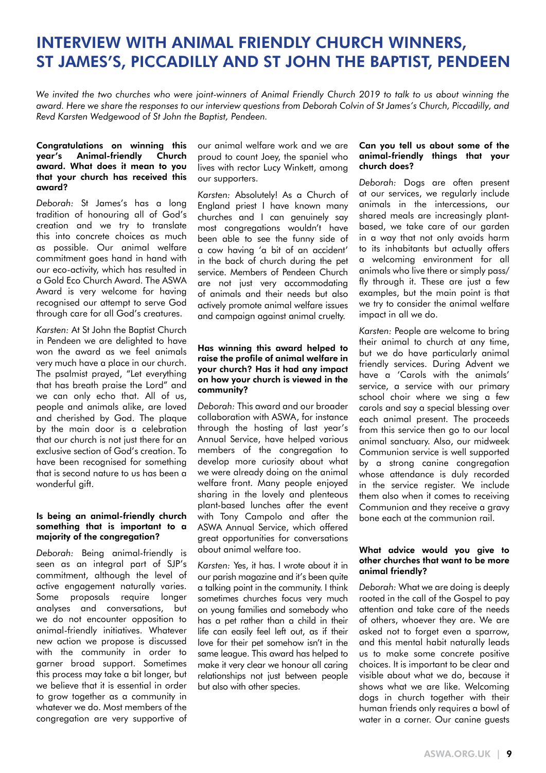### INTERVIEW WITH ANIMAL FRIENDLY CHURCH WINNERS, ST JAMES'S, PICCADILLY AND ST JOHN THE BAPTIST, PENDEEN

We invited the two churches who were joint-winners of Animal Friendly Church 2019 to talk to us about winning the *award. Here we share the responses to our interview questions from Deborah Colvin of St James's Church, Piccadilly, and Revd Karsten Wedgewood of St John the Baptist, Pendeen.*

#### Congratulations on winning this year's Animal-friendly Church award. What does it mean to you that your church has received this award?

*Deborah:* St James's has a long tradition of honouring all of God's creation and we try to translate this into concrete choices as much as possible. Our animal welfare commitment goes hand in hand with our eco-activity, which has resulted in a Gold Eco Church Award. The ASWA Award is very welcome for having recognised our attempt to serve God through care for all God's creatures.

*Karsten:* At St John the Baptist Church in Pendeen we are delighted to have won the award as we feel animals very much have a place in our church. The psalmist prayed, "Let everything that has breath praise the Lord" and we can only echo that. All of us, people and animals alike, are loved and cherished by God. The plaque by the main door is a celebration that our church is not just there for an exclusive section of God's creation. To have been recognised for something that is second nature to us has been a wonderful gift.

#### Is being an animal-friendly church something that is important to a majority of the congregation?

*Deborah:* Being animal-friendly is seen as an integral part of SJP's commitment, although the level of active engagement naturally varies. Some proposals require longer analyses and conversations, but we do not encounter opposition to animal-friendly initiatives. Whatever new action we propose is discussed with the community in order to garner broad support. Sometimes this process may take a bit longer, but we believe that it is essential in order to grow together as a community in whatever we do. Most members of the congregation are very supportive of

our animal welfare work and we are proud to count Joey, the spaniel who lives with rector Lucy Winkett, among our supporters.

*Karsten:* Absolutely! As a Church of England priest I have known many churches and I can genuinely say most congregations wouldn't have been able to see the funny side of a cow having 'a bit of an accident' in the back of church during the pet service. Members of Pendeen Church are not just very accommodating of animals and their needs but also actively promote animal welfare issues and campaign against animal cruelty.

#### Has winning this award helped to raise the profile of animal welfare in your church? Has it had any impact on how your church is viewed in the community?

*Deborah:* This award and our broader collaboration with ASWA, for instance through the hosting of last year's Annual Service, have helped various members of the congregation to develop more curiosity about what we were already doing on the animal welfare front. Many people enjoyed sharing in the lovely and plenteous plant-based lunches after the event with Tony Campolo and after the ASWA Annual Service, which offered great opportunities for conversations about animal welfare too.

*Karsten:* Yes, it has. I wrote about it in our parish magazine and it's been quite a talking point in the community. I think sometimes churches focus very much on young families and somebody who has a pet rather than a child in their life can easily feel left out, as if their love for their pet somehow isn't in the same league. This award has helped to make it very clear we honour all caring relationships not just between people but also with other species.

#### Can you tell us about some of the animal-friendly things that your church does?

*Deborah:* Dogs are often present at our services, we regularly include animals in the intercessions, our shared meals are increasingly plantbased, we take care of our garden in a way that not only avoids harm to its inhabitants but actually offers a welcoming environment for all animals who live there or simply pass/ fly through it. These are just a few examples, but the main point is that we try to consider the animal welfare impact in all we do.

*Karsten:* People are welcome to bring their animal to church at any time, but we do have particularly animal friendly services. During Advent we have a 'Carols with the animals' service, a service with our primary school choir where we sing a few carols and say a special blessing over each animal present. The proceeds from this service then go to our local animal sanctuary. Also, our midweek Communion service is well supported by a strong canine congregation whose attendance is duly recorded in the service register. We include them also when it comes to receiving Communion and they receive a gravy bone each at the communion rail.

#### What advice would you give to other churches that want to be more animal friendly?

*Deborah:* What we are doing is deeply rooted in the call of the Gospel to pay attention and take care of the needs of others, whoever they are. We are asked not to forget even a sparrow, and this mental habit naturally leads us to make some concrete positive choices. It is important to be clear and visible about what we do, because it shows what we are like. Welcoming dogs in church together with their human friends only requires a bowl of water in a corner. Our canine quests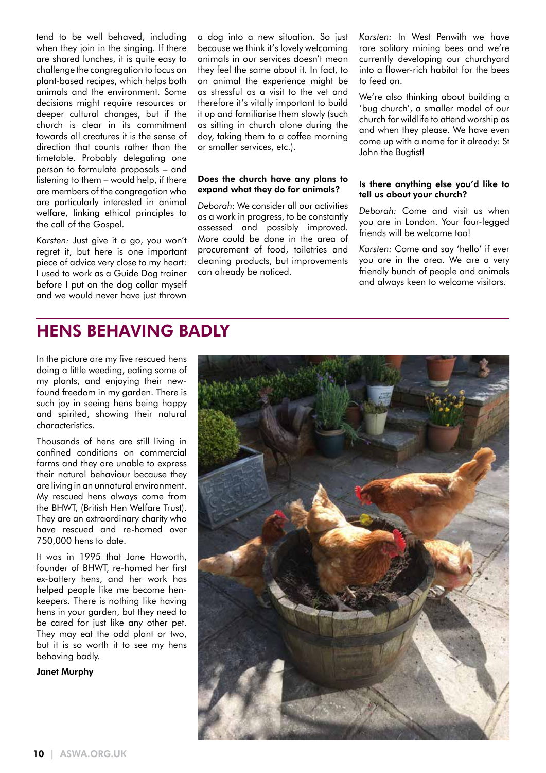tend to be well behaved, including when they join in the singing. If there are shared lunches, it is quite easy to challenge the congregation to focus on plant-based recipes, which helps both animals and the environment. Some decisions might require resources or deeper cultural changes, but if the church is clear in its commitment towards all creatures it is the sense of direction that counts rather than the timetable. Probably delegating one person to formulate proposals – and listening to them – would help, if there are members of the congregation who are particularly interested in animal welfare, linking ethical principles to the call of the Gospel.

*Karsten:* Just give it a go, you won't regret it, but here is one important piece of advice very close to my heart: I used to work as a Guide Dog trainer before I put on the dog collar myself and we would never have just thrown a dog into a new situation. So just because we think it's lovely welcoming animals in our services doesn't mean they feel the same about it. In fact, to an animal the experience might be as stressful as a visit to the vet and therefore it's vitally important to build it up and familiarise them slowly (such as sitting in church alone during the day, taking them to a coffee morning or smaller services, etc.).

#### Does the church have any plans to expand what they do for animals?

*Deborah:* We consider all our activities as a work in progress, to be constantly assessed and possibly improved. More could be done in the area of procurement of food, toiletries and cleaning products, but improvements can already be noticed.

*Karsten:* In West Penwith we have rare solitary mining bees and we're currently developing our churchyard into a flower-rich habitat for the bees to feed on.

We're also thinking about building a 'bug church', a smaller model of our church for wildlife to attend worship as and when they please. We have even come up with a name for it already: St John the Bugtist!

#### Is there anything else you'd like to tell us about your church?

*Deborah:* Come and visit us when you are in London. Your four-legged friends will be welcome too!

*Karsten:* Come and say 'hello' if ever you are in the area. We are a very friendly bunch of people and animals and always keen to welcome visitors.

### HENS BEHAVING BADLY

In the picture are my five rescued hens doing a little weeding, eating some of my plants, and enjoying their newfound freedom in my garden. There is such joy in seeing hens being happy and spirited, showing their natural characteristics.

Thousands of hens are still living in confined conditions on commercial farms and they are unable to express their natural behaviour because they are living in an unnatural environment. My rescued hens always come from the BHWT, (British Hen Welfare Trust). They are an extraordinary charity who have rescued and re-homed over 750,000 hens to date.

It was in 1995 that Jane Haworth, founder of BHWT, re-homed her first ex-battery hens, and her work has helped people like me become henkeepers. There is nothing like having hens in your garden, but they need to be cared for just like any other pet. They may eat the odd plant or two, but it is so worth it to see my hens behaving badly.

#### Janet Murphy

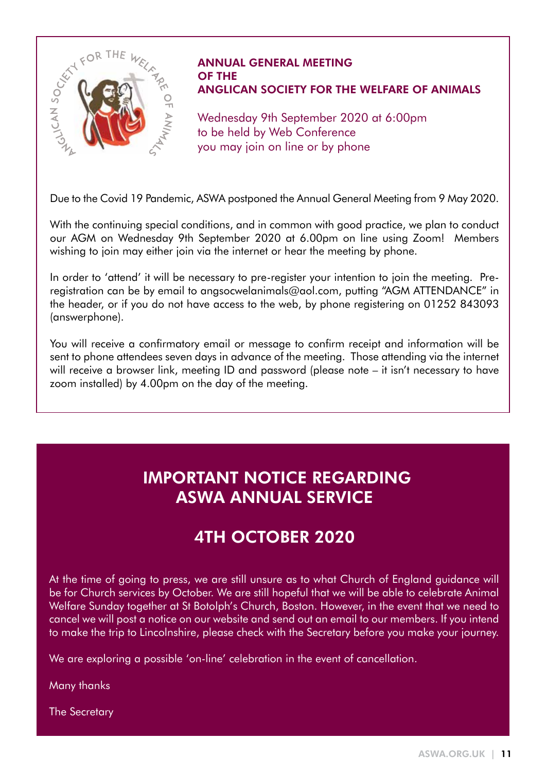

#### ANNUAL GENERAL MEETING OF THE ANGLICAN SOCIETY FOR THE WELFARE OF ANIMALS

Wednesday 9th September 2020 at 6:00pm to be held by Web Conference you may join on line or by phone

Due to the Covid 19 Pandemic, ASWA postponed the Annual General Meeting from 9 May 2020.

With the continuing special conditions, and in common with good practice, we plan to conduct our AGM on Wednesday 9th September 2020 at 6.00pm on line using Zoom! Members wishing to join may either join via the internet or hear the meeting by phone.

In order to 'attend' it will be necessary to pre-register your intention to join the meeting. Preregistration can be by email to angsocwelanimals@aol.com, putting "AGM ATTENDANCE" in the header, or if you do not have access to the web, by phone registering on 01252 843093 (answerphone).

You will receive a confirmatory email or message to confirm receipt and information will be sent to phone attendees seven days in advance of the meeting. Those attending via the internet will receive a browser link, meeting ID and password (please note – it isn't necessary to have zoom installed) by 4.00pm on the day of the meeting.

## IMPORTANT NOTICE REGARDING ASWA ANNUAL SERVICE

## 4TH OCTOBER 2020

At the time of going to press, we are still unsure as to what Church of England guidance will be for Church services by October. We are still hopeful that we will be able to celebrate Animal Welfare Sunday together at St Botolph's Church, Boston. However, in the event that we need to cancel we will post a notice on our website and send out an email to our members. If you intend to make the trip to Lincolnshire, please check with the Secretary before you make your journey.

We are exploring a possible 'on-line' celebration in the event of cancellation.

Many thanks

The Secretary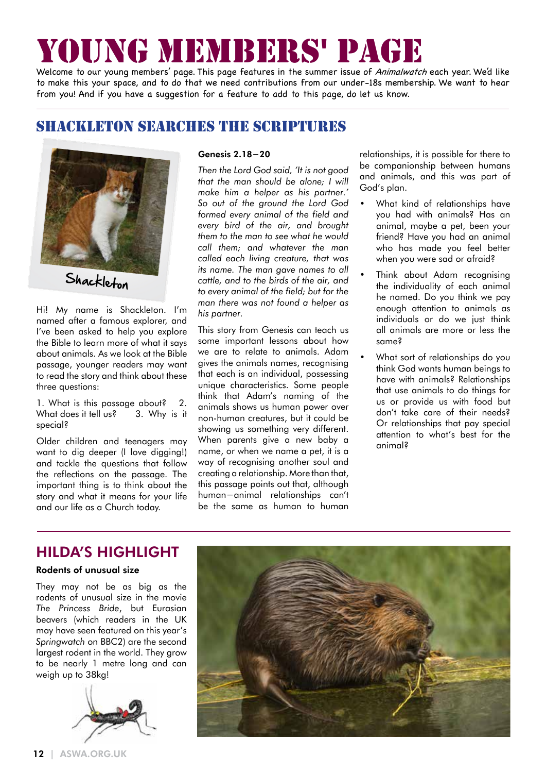# YOUNG MEMBERS' PAGE

Welcome to our young members' page. This page features in the summer issue of Animalwatch each year. We'd like to make this your space, and to do that we need contributions from our under-18s membership. We want to hear from you! And if you have a suggestion for a feature to add to this page, do let us know.

### SHACKLETON SEARCHES THE SCRIPTURES



Hi! My name is Shackleton. I'm named after a famous explorer, and I've been asked to help you explore the Bible to learn more of what it says about animals. As we look at the Bible passage, younger readers may want to read the story and think about these three questions:

1. What is this passage about? 2. What does it tell us? 3. Why is it special?

Older children and teenagers may want to dig deeper (I love digging!) and tackle the questions that follow the reflections on the passage. The important thing is to think about the story and what it means for your life and our life as a Church today.

#### Genesis 2.18−20

*Then the Lord God said, 'It is not good that the man should be alone; I will make him a helper as his partner.' So out of the ground the Lord God formed every animal of the field and every bird of the air, and brought them to the man to see what he would call them; and whatever the man called each living creature, that was its name. The man gave names to all cattle, and to the birds of the air, and to every animal of the field; but for the man there was not found a helper as his partner.*

This story from Genesis can teach us some important lessons about how we are to relate to animals. Adam gives the animals names, recognising that each is an individual, possessing unique characteristics. Some people think that Adam's naming of the animals shows us human power over non-human creatures, but it could be showing us something very different. When parents give a new baby a name, or when we name a pet, it is a way of recognising another soul and creating a relationship. More than that, this passage points out that, although human−animal relationships can't be the same as human to human

relationships, it is possible for there to be companionship between humans and animals, and this was part of God's plan.

- What kind of relationships have you had with animals? Has an animal, maybe a pet, been your friend? Have you had an animal who has made you feel better when you were sad or afraid?
- Think about Adam recognising the individuality of each animal he named. Do you think we pay enough attention to animals as individuals or do we just think all animals are more or less the same?
- What sort of relationships do you think God wants human beings to have with animals? Relationships that use animals to do things for us or provide us with food but don't take care of their needs? Or relationships that pay special attention to what's best for the animal?

### HILDA'S HIGHLIGHT

#### Rodents of unusual size

They may not be as big as the rodents of unusual size in the movie *The Princess Bride*, but Eurasian beavers (which readers in the UK may have seen featured on this year's *Springwatch* on BBC2) are the second largest rodent in the world. They grow to be nearly 1 metre long and can weigh up to 38kg!





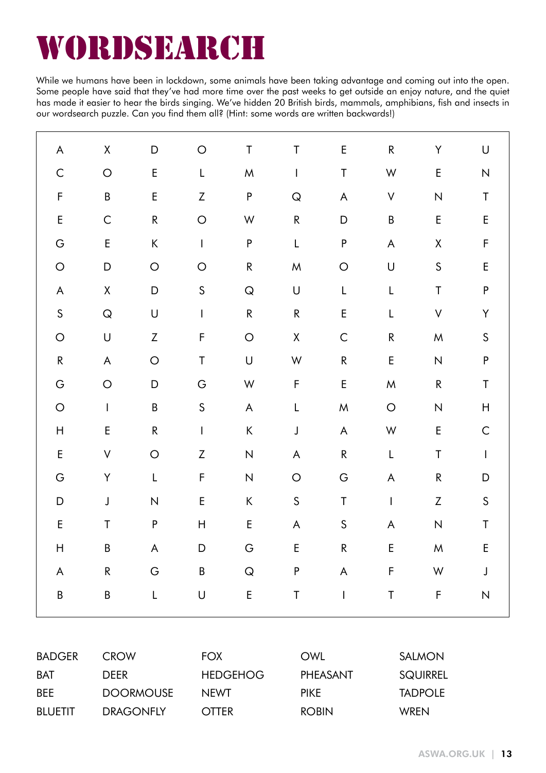# wordsearch

While we humans have been in lockdown, some animals have been taking advantage and coming out into the open. Some people have said that they've had more time over the past weeks to get outside an enjoy nature, and the quiet has made it easier to hear the birds singing. We've hidden 20 British birds, mammals, amphibians, fish and insects in our wordsearch puzzle. Can you find them all? (Hint: some words are written backwards!)

| $\boldsymbol{\mathsf{A}}$                                                                              | $\mathsf X$                                                                                            | $\mathsf D$                                                                                                 | $\bigcirc$                | $\sf T$       | $\sf T$                                                                                                    | E                                                                   | ${\sf R}$    | Υ                         | $\mathsf U$                           |
|--------------------------------------------------------------------------------------------------------|--------------------------------------------------------------------------------------------------------|-------------------------------------------------------------------------------------------------------------|---------------------------|---------------|------------------------------------------------------------------------------------------------------------|---------------------------------------------------------------------|--------------|---------------------------|---------------------------------------|
| $\mathsf C$                                                                                            | $\bigcirc$                                                                                             | E                                                                                                           | L                         | ${\sf M}$     | $\mathsf I$                                                                                                | $\sf T$                                                             | W            | $\mathsf E$               | ${\sf N}$                             |
| F                                                                                                      | $\sf B$                                                                                                | E                                                                                                           | $\boldsymbol{Z}$          | $\mathsf P$   | ${\sf Q}$                                                                                                  | $\boldsymbol{\mathsf{A}}$                                           | $\vee$       | ${\sf N}$                 | $\mathsf T$                           |
| $\mathsf E$                                                                                            | $\mathsf C$                                                                                            | ${\sf R}$                                                                                                   | $\bigcirc$                | ${\mathsf W}$ | ${\sf R}$                                                                                                  | $\mathsf D$                                                         | B            | $\mathsf E$               | $\sf E$                               |
| ${\mathsf G}$                                                                                          | $\mathsf E$                                                                                            | $\sf K$                                                                                                     | $\mathsf I$               | ${\sf P}$     | $\mathsf L$                                                                                                | ${\sf P}$                                                           | A            | $\mathsf X$               | F                                     |
| $\bigcirc$                                                                                             | $\mathsf D$                                                                                            | $\bigcirc$                                                                                                  | $\circ$                   | ${\sf R}$     | ${\sf M}$                                                                                                  | $\circ$                                                             | $\mathsf U$  | $\mathsf S$               | $\sf E$                               |
| $\boldsymbol{\mathsf{A}}$                                                                              | $\mathsf X$                                                                                            | $\mathsf D$                                                                                                 | $\mathsf S$               | ${\sf Q}$     | $\mathsf{U}% _{T}=\mathsf{U}_{T}\!\left( a,b\right) ,\ \mathsf{U}_{T}=\mathsf{U}_{T}\!\left( a,b\right) ,$ | L                                                                   | L            | $\sf T$                   | ${\sf P}$                             |
| $\mathsf S$                                                                                            | ${\sf Q}$                                                                                              | $\bigcup$                                                                                                   | $\mathsf{I}$              | ${\sf R}$     | ${\sf R}$                                                                                                  | E                                                                   | L            | $\mathsf V$               | Y                                     |
| $\bigcirc$                                                                                             | $\mathsf U$                                                                                            | $\ensuremath{\mathsf{Z}}$                                                                                   | F                         | $\bigcirc$    | $\mathsf X$                                                                                                | $\mathsf C$                                                         | ${\sf R}$    | ${\sf M}$                 | $\sf S$                               |
| ${\sf R}$                                                                                              | $\mathsf{A}% _{\mathsf{A}}^{\prime}=\mathsf{A}_{\mathsf{A}}^{\prime}=\mathsf{A}_{\mathsf{A}}^{\prime}$ | $\bigcirc$                                                                                                  | T                         | $\bigcup$     | $\mathsf W$                                                                                                | ${\sf R}$                                                           | E            | ${\sf N}$                 | ${\sf P}$                             |
| ${\mathsf G}$                                                                                          | $\bigcirc$                                                                                             | $\mathsf D$                                                                                                 | ${\mathsf G}$             | ${\mathsf W}$ | $\mathsf F$                                                                                                | E                                                                   | M            | ${\sf R}$                 | T                                     |
| $\bigcirc$                                                                                             | $\mathbf{I}$                                                                                           | $\sf B$                                                                                                     | $\mathsf S$               | $\mathsf A$   | L                                                                                                          | ${\sf M}$                                                           | $\circ$      | ${\sf N}$                 | $\boldsymbol{\mathsf{H}}$             |
| $\boldsymbol{\mathsf{H}}$                                                                              | E                                                                                                      | ${\sf R}$                                                                                                   | $\mathsf{I}$              | $\sf K$       | $\mathsf J$                                                                                                | $\mathsf A$                                                         | W            | $\mathsf E$               | $\mathsf C$                           |
| $\mathsf E$                                                                                            | $\boldsymbol{\mathsf{V}}$                                                                              | $\bigcirc$                                                                                                  | $\boldsymbol{Z}$          | ${\sf N}$     | A                                                                                                          | ${\sf R}$                                                           | L            | $\sf T$                   | $\begin{array}{c} \hline \end{array}$ |
| ${\mathsf G}$                                                                                          | Y                                                                                                      | $\overline{\mathsf{L}}$                                                                                     | F                         | ${\sf N}$     | $\bigcirc$                                                                                                 | G                                                                   | A            | ${\sf R}$                 | D                                     |
| D                                                                                                      | $\mathsf J$                                                                                            | $\overline{\mathsf{N}}$                                                                                     | E                         | $\sf K$       | $\mathsf S$                                                                                                | $\sf T$                                                             | $\mathbf{I}$ | $\ensuremath{\mathsf{Z}}$ | $\mathsf S$                           |
| E                                                                                                      | Τ                                                                                                      | P                                                                                                           | $\boldsymbol{\mathsf{H}}$ | E             | A                                                                                                          | $\sf S$                                                             | A            | $\overline{\mathsf{N}}$   | T                                     |
| H                                                                                                      | B                                                                                                      | $\mathsf{A}% _{\mathsf{A}}^{\prime}=\mathsf{A}_{\mathsf{A}}^{\prime}=\mathsf{A}_{\mathsf{A}}^{\prime}$      | D                         | ${\mathsf G}$ | $\sf E$                                                                                                    | ${\sf R}$                                                           | E            | ${\sf M}$                 | $\mathsf E$                           |
| $\mathsf{A}% _{\mathcal{A}}^{\ast }=\mathsf{A}_{\mathcal{A}}^{\ast }=\mathsf{A}_{\mathcal{A}}^{\ast }$ | ${\sf R}$                                                                                              | G                                                                                                           | $\sf B$                   | ${\sf Q}$     | ${\sf P}$                                                                                                  | $\mathsf{A}% _{\mathcal{A}}^{\ast}=\mathsf{A}_{\mathcal{A}}^{\ast}$ | F            | $\mathsf W$               | $\mathsf J$                           |
| $\sf B$                                                                                                | B                                                                                                      | $\mathsf{L}% _{0}\left( \mathsf{L}_{0}\right) ^{\ast }=\mathsf{L}_{0}\left( \mathsf{L}_{0}\right) ^{\ast }$ | $\bigcup$                 | $\mathsf E$   | $\mathsf T$                                                                                                | $\mathsf I$                                                         | $\sf T$      | $\mathsf F$               | ${\sf N}$                             |
|                                                                                                        |                                                                                                        |                                                                                                             |                           |               |                                                                                                            |                                                                     |              |                           |                                       |

| <b>BADGER</b>  | <b>CROW</b>      | <b>FOX</b>      | OWI          | <b>SALMON</b>   |
|----------------|------------------|-----------------|--------------|-----------------|
| <b>BAT</b>     | <b>DEFR</b>      | <b>HEDGEHOG</b> | PHEASANT     | <b>SQUIRREL</b> |
| <b>BFF</b>     | <b>DOORMOUSE</b> | <b>NFWT</b>     | <b>PIKF</b>  | <b>TADPOLE</b>  |
| <b>BIUFTIT</b> | <b>DRAGONFLY</b> | OTTFR.          | <b>ROBIN</b> | <b>WRFN</b>     |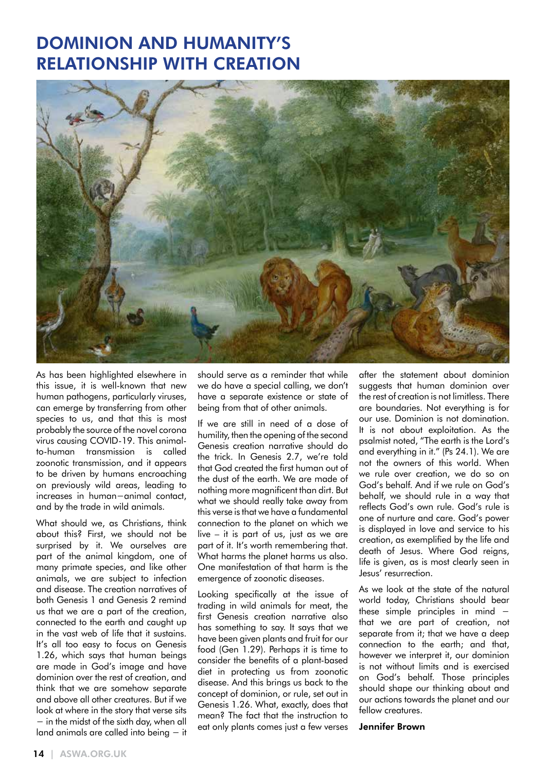## DOMINION AND HUMANITY'S RELATIONSHIP WITH CREATION



As has been highlighted elsewhere in this issue, it is well-known that new human pathogens, particularly viruses, can emerge by transferring from other species to us, and that this is most probably the source of the novel corona virus causing COVID-19. This animalto-human transmission is called zoonotic transmission, and it appears to be driven by humans encroaching on previously wild areas, leading to increases in human−animal contact, and by the trade in wild animals.

What should we, as Christians, think about this? First, we should not be surprised by it. We ourselves are part of the animal kingdom, one of many primate species, and like other animals, we are subject to infection and disease. The creation narratives of both Genesis 1 and Genesis 2 remind us that we are a part of the creation, connected to the earth and caught up in the vast web of life that it sustains. It's all too easy to focus on Genesis 1.26, which says that human beings are made in God's image and have dominion over the rest of creation, and think that we are somehow separate and above all other creatures. But if we look at where in the story that verse sits − in the midst of the sixth day, when all land animals are called into being − it should serve as a reminder that while we do have a special calling, we don't have a separate existence or state of being from that of other animals.

If we are still in need of a dose of humility, then the opening of the second Genesis creation narrative should do the trick. In Genesis 2.7, we're told that God created the first human out of the dust of the earth. We are made of nothing more magnificent than dirt. But what we should really take away from this verse is that we have a fundamental connection to the planet on which we live – it is part of us, just as we are part of it. It's worth remembering that. What harms the planet harms us also. One manifestation of that harm is the emergence of zoonotic diseases.

Looking specifically at the issue of trading in wild animals for meat, the first Genesis creation narrative also has something to say. It says that we have been given plants and fruit for our food (Gen 1.29). Perhaps it is time to consider the benefits of a plant-based diet in protecting us from zoonotic disease. And this brings us back to the concept of dominion, or rule, set out in Genesis 1.26. What, exactly, does that mean? The fact that the instruction to eat only plants comes just a few verses after the statement about dominion suggests that human dominion over the rest of creation is not limitless. There are boundaries. Not everything is for our use. Dominion is not domination. It is not about exploitation. As the psalmist noted, "The earth is the Lord's and everything in it." (Ps 24.1). We are not the owners of this world. When we rule over creation, we do so on God's behalf. And if we rule on God's behalf, we should rule in a way that reflects God's own rule. God's rule is one of nurture and care. God's power is displayed in love and service to his creation, as exemplified by the life and death of Jesus. Where God reigns, life is given, as is most clearly seen in Jesus' resurrection.

As we look at the state of the natural world today, Christians should bear these simple principles in mind − that we are part of creation, not separate from it; that we have a deep connection to the earth; and that, however we interpret it, our dominion is not without limits and is exercised on God's behalf. Those principles should shape our thinking about and our actions towards the planet and our fellow creatures.

#### Jennifer Brown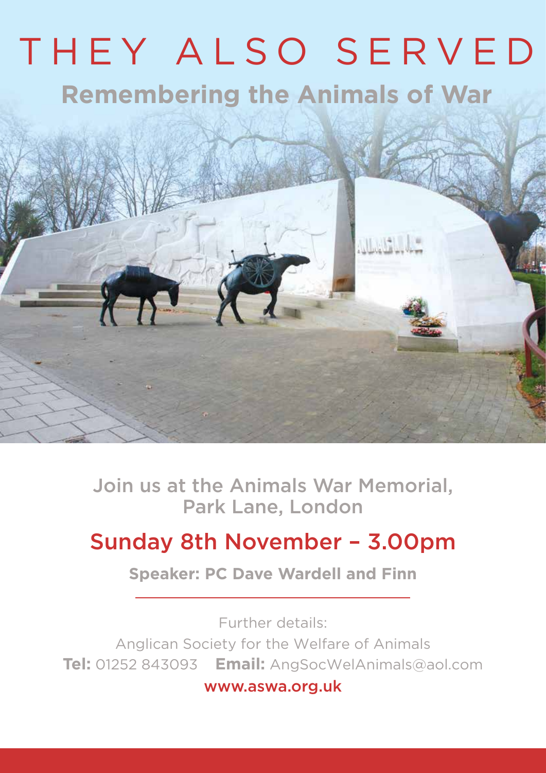# THEY ALSO SERVED **Remembering the Animals of War**



Join us at the Animals War Memorial, Park Lane, London

## Sunday 8th November – 3.00pm

**Speaker: PC Dave Wardell and Finn**

Further details: Anglican Society for the Welfare of Animals **Tel:** 01252 843093 **Email:** AngSocWelAnimals@aol.com www.aswa.org.uk